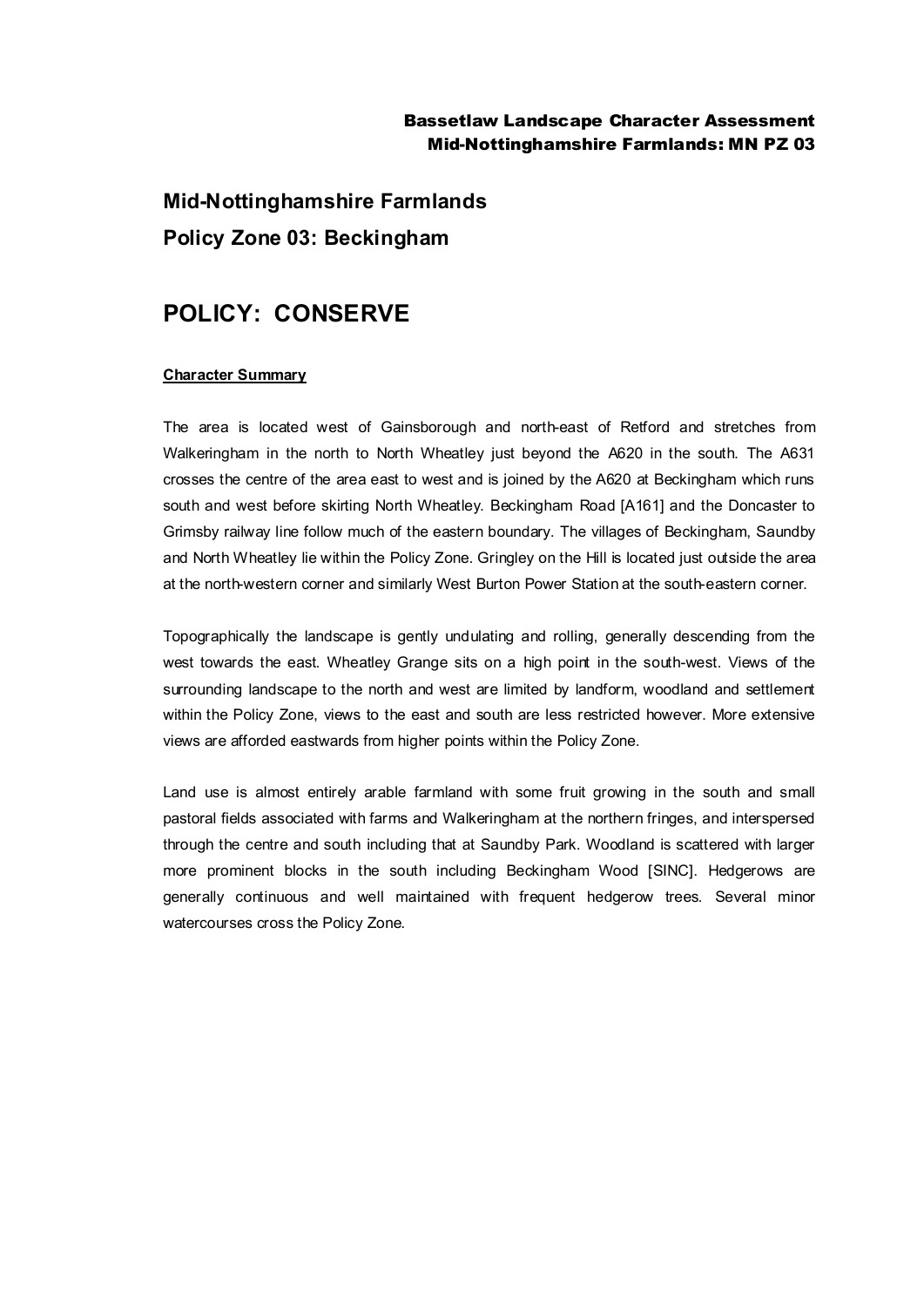## Bassetlaw Landscape Character Assessment Mid-Nottinghamshire Farmlands: MN PZ 03

**Mid-Nottinghamshire Farmlands Policy Zone 03: Beckingham**

# **POLICY: CONSERVE**

#### **Character Summary**

The area is located west of Gainsborough and north-east of Retford and stretches from Walkeringham in the north to North Wheatley just beyond the A620 in the south. The A631 crosses the centre of the area east to west and is joined by the A620 at Beckingham which runs south and west before skirting North Wheatley. Beckingham Road [A161] and the Doncaster to Grimsby railway line follow much of the eastern boundary. The villages of Beckingham, Saundby and North Wheatley lie within the Policy Zone. Gringley on the Hill is located just outside the area at the north-western corner and similarly West Burton Power Station at the south-eastern corner.

Topographically the landscape is gently undulating and rolling, generally descending from the west towards the east. Wheatley Grange sits on a high point in the south-west. Views of the surrounding landscape to the north and west are limited by landform, woodland and settlement within the Policy Zone, views to the east and south are less restricted however. More extensive views are afforded eastwards from higher points within the Policy Zone.

Land use is almost entirely arable farmland with some fruit growing in the south and small pastoral fields associated with farms and Walkeringham at the northern fringes, and interspersed through the centre and south including that at Saundby Park. Woodland is scattered with larger more prominent blocks in the south including Beckingham Wood [SINC]. Hedgerows are generally continuous and well maintained with frequent hedgerow trees. Several minor watercourses cross the Policy Zone.